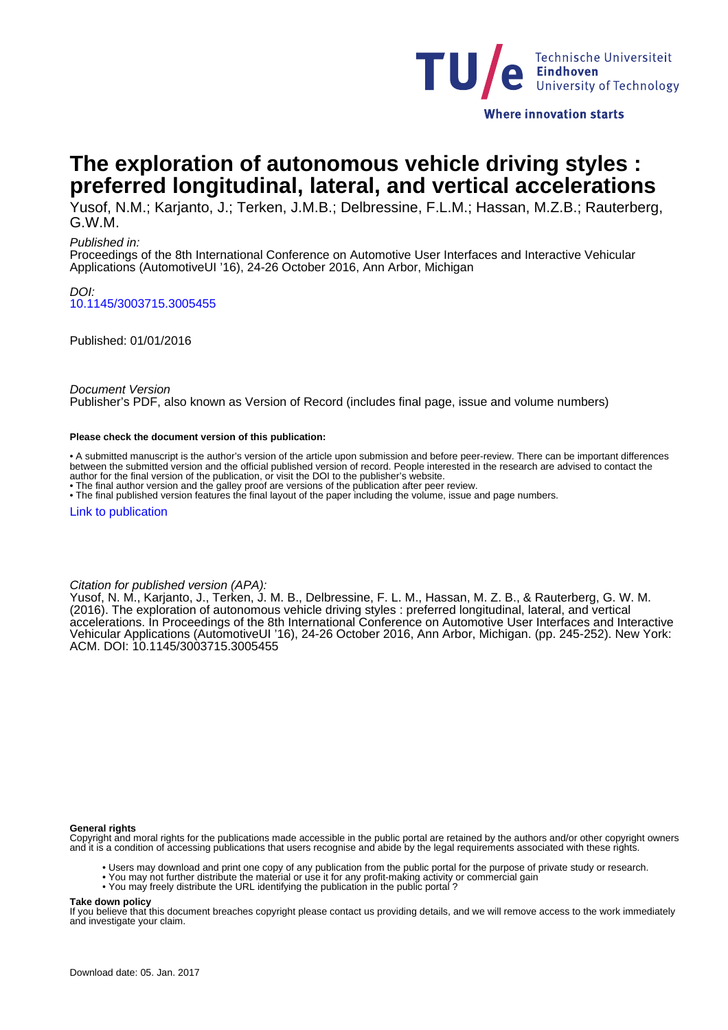

**The exploration of autonomous vehicle driving styles : preferred longitudinal, lateral, and vertical accelerations**

Yusof, N.M.; Karjanto, J.; Terken, J.M.B.; Delbressine, F.L.M.; Hassan, M.Z.B.; Rauterberg, G.W.M.

#### Published in:

Proceedings of the 8th International Conference on Automotive User Interfaces and Interactive Vehicular Applications (AutomotiveUI '16), 24-26 October 2016, Ann Arbor, Michigan

DOI: [10.1145/3003715.3005455](http://dx.doi.org/10.1145/3003715.3005455)

Published: 01/01/2016

Document Version

Publisher's PDF, also known as Version of Record (includes final page, issue and volume numbers)

#### **Please check the document version of this publication:**

• A submitted manuscript is the author's version of the article upon submission and before peer-review. There can be important differences between the submitted version and the official published version of record. People interested in the research are advised to contact the author for the final version of the publication, or visit the DOI to the publisher's website.

• The final author version and the galley proof are versions of the publication after peer review.

• The final published version features the final layout of the paper including the volume, issue and page numbers.

[Link to publication](https://pure.tue.nl/en/publications/the-exploration-of-autonomous-vehicle-driving-styles--preferred-longitudinal-lateral-and-vertical-accelerations(e6f49213-2e11-4815-8f97-3c30d84924e0).html)

Citation for published version (APA):

Yusof, N. M., Karjanto, J., Terken, J. M. B., Delbressine, F. L. M., Hassan, M. Z. B., & Rauterberg, G. W. M. (2016). The exploration of autonomous vehicle driving styles : preferred longitudinal, lateral, and vertical accelerations. In Proceedings of the 8th International Conference on Automotive User Interfaces and Interactive Vehicular Applications (AutomotiveUI '16), 24-26 October 2016, Ann Arbor, Michigan. (pp. 245-252). New York: ACM. DOI: 10.1145/3003715.3005455

#### **General rights**

Copyright and moral rights for the publications made accessible in the public portal are retained by the authors and/or other copyright owners and it is a condition of accessing publications that users recognise and abide by the legal requirements associated with these rights.

- Users may download and print one copy of any publication from the public portal for the purpose of private study or research.
- You may not further distribute the material or use it for any profit-making activity or commercial gain
	- You may freely distribute the URL identifying the publication in the public portal ?

#### **Take down policy**

If you believe that this document breaches copyright please contact us providing details, and we will remove access to the work immediately and investigate your claim.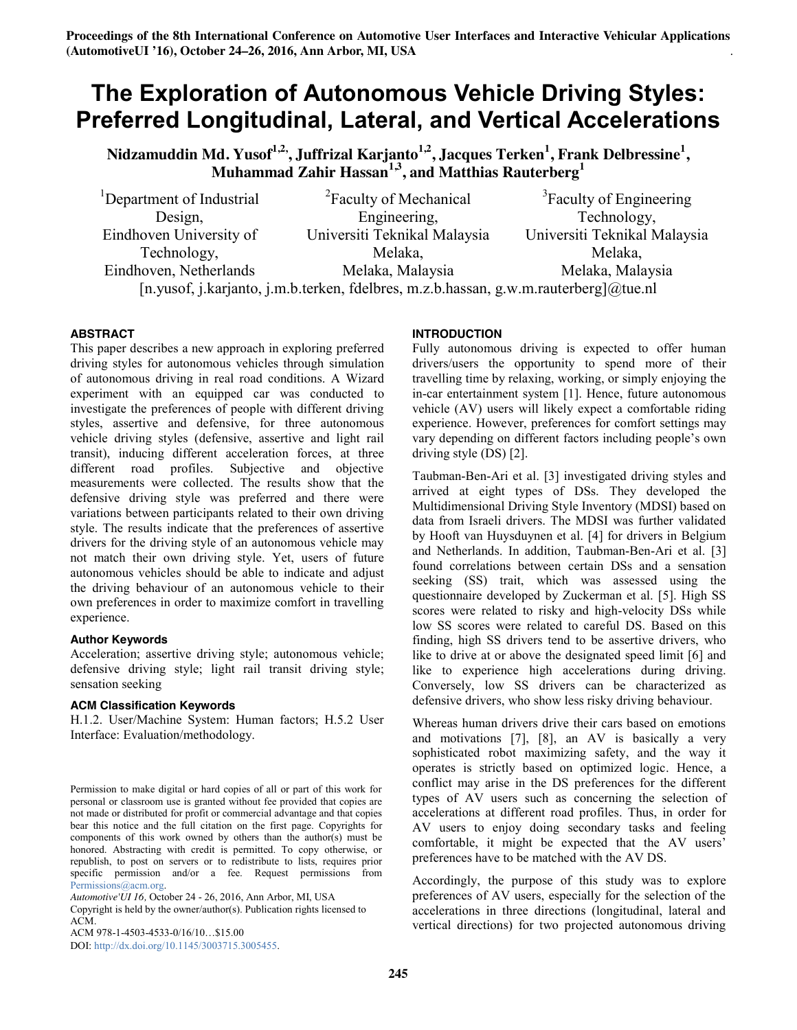# **The Exploration of Autonomous Vehicle Driving Styles: Preferred Longitudinal, Lateral, and Vertical Accelerations**

**Nidzamuddin Md. Yusof1,2, , Juffrizal Karjanto1,2, Jacques Terken1 , Frank Delbressine<sup>1</sup> , Muhammad Zahir Hassan1,3, and Matthias Rauterberg<sup>1</sup>**

<sup>1</sup>Department of Industrial Design, Eindhoven University of Technology, Eindhoven, Netherlands <sup>2</sup> Faculty of Mechanical Engineering, Universiti Teknikal Malaysia Melaka, Melaka, Malaysia <sup>3</sup>Faculty of Engineering Technology, Universiti Teknikal Malaysia Melaka, Melaka, Malaysia [n.yusof, j.karjanto, j.m.b.terken, fdelbres, m.z.b.hassan, g.w.m.rauterberg]@tue.nl

### **ABSTRACT**

This paper describes a new approach in exploring preferred driving styles for autonomous vehicles through simulation of autonomous driving in real road conditions. A Wizard experiment with an equipped car was conducted to investigate the preferences of people with different driving styles, assertive and defensive, for three autonomous vehicle driving styles (defensive, assertive and light rail transit), inducing different acceleration forces, at three different road profiles. Subjective and objective measurements were collected. The results show that the defensive driving style was preferred and there were variations between participants related to their own driving style. The results indicate that the preferences of assertive drivers for the driving style of an autonomous vehicle may not match their own driving style. Yet, users of future autonomous vehicles should be able to indicate and adjust the driving behaviour of an autonomous vehicle to their own preferences in order to maximize comfort in travelling experience.

### **Author Keywords**

Acceleration; assertive driving style; autonomous vehicle; defensive driving style; light rail transit driving style; sensation seeking

### **ACM Classification Keywords**

H.1.2. User/Machine System: Human factors; H.5.2 User Interface: Evaluation/methodology.

Copyright is held by the owner/author(s). Publication rights licensed to ACM.

ACM 978-1-4503-4533-0/16/10…\$15.00

DOI: http://dx.doi.org/10.1145/3003715.3005455.

# **INTRODUCTION**

Fully autonomous driving is expected to offer human drivers/users the opportunity to spend more of their travelling time by relaxing, working, or simply enjoying the in-car entertainment system [1]. Hence, future autonomous vehicle (AV) users will likely expect a comfortable riding experience. However, preferences for comfort settings may vary depending on different factors including people's own driving style (DS) [2].

Taubman-Ben-Ari et al. [3] investigated driving styles and arrived at eight types of DSs. They developed the Multidimensional Driving Style Inventory (MDSI) based on data from Israeli drivers. The MDSI was further validated by Hooft van Huysduynen et al. [4] for drivers in Belgium and Netherlands. In addition, Taubman-Ben-Ari et al. [3] found correlations between certain DSs and a sensation seeking (SS) trait, which was assessed using the questionnaire developed by Zuckerman et al. [5]. High SS scores were related to risky and high-velocity DSs while low SS scores were related to careful DS. Based on this finding, high SS drivers tend to be assertive drivers, who like to drive at or above the designated speed limit [6] and like to experience high accelerations during driving. Conversely, low SS drivers can be characterized as defensive drivers, who show less risky driving behaviour.

Whereas human drivers drive their cars based on emotions and motivations [7], [8], an AV is basically a very sophisticated robot maximizing safety, and the way it operates is strictly based on optimized logic. Hence, a conflict may arise in the DS preferences for the different types of AV users such as concerning the selection of accelerations at different road profiles. Thus, in order for AV users to enjoy doing secondary tasks and feeling comfortable, it might be expected that the AV users' preferences have to be matched with the AV DS.

Accordingly, the purpose of this study was to explore preferences of AV users, especially for the selection of the accelerations in three directions (longitudinal, lateral and vertical directions) for two projected autonomous driving

Permission to make digital or hard copies of all or part of this work for personal or classroom use is granted without fee provided that copies are not made or distributed for profit or commercial advantage and that copies bear this notice and the full citation on the first page. Copyrights for components of this work owned by others than the author(s) must be honored. Abstracting with credit is permitted. To copy otherwise, or republish, to post on servers or to redistribute to lists, requires prior specific permission and/or a fee. Request permissions from Permissions@acm.org.

*Automotive'UI 16,* October 24 - 26, 2016, Ann Arbor, MI, USA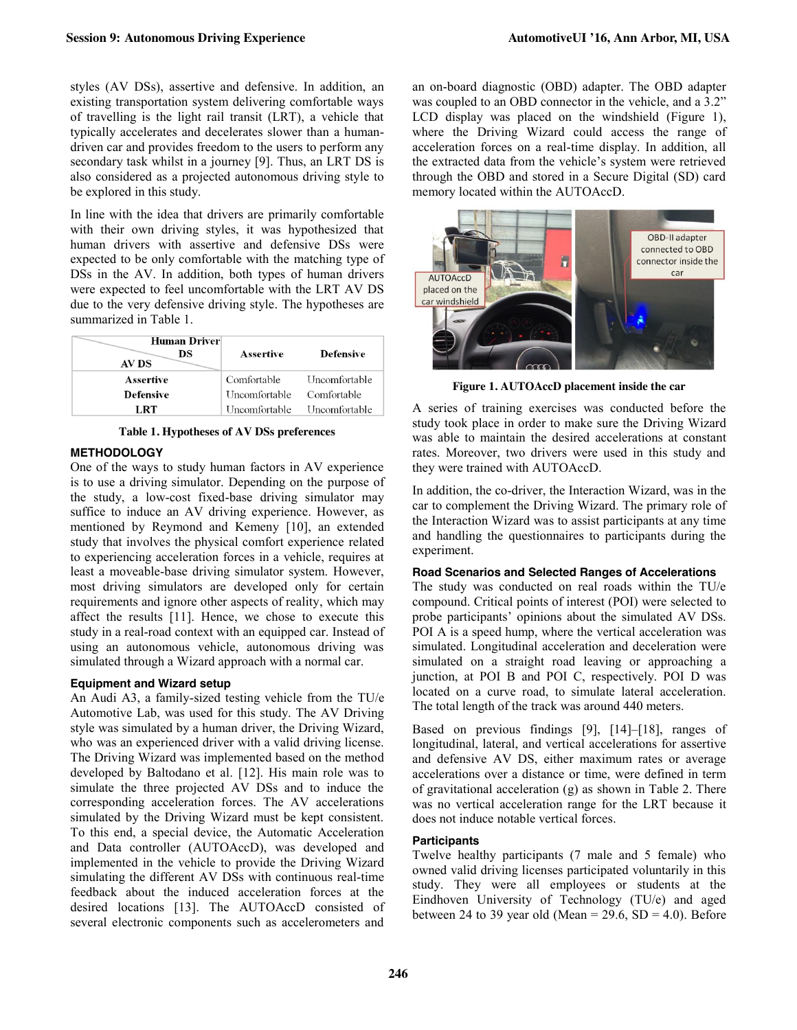styles (AV DSs), assertive and defensive. In addition, an existing transportation system delivering comfortable ways of travelling is the light rail transit (LRT), a vehicle that typically accelerates and decelerates slower than a humandriven car and provides freedom to the users to perform any secondary task whilst in a journey [9]. Thus, an LRT DS is also considered as a projected autonomous driving style to be explored in this study.

In line with the idea that drivers are primarily comfortable with their own driving styles, it was hypothesized that human drivers with assertive and defensive DSs were expected to be only comfortable with the matching type of DSs in the AV. In addition, both types of human drivers were expected to feel uncomfortable with the LRT AV DS due to the very defensive driving style. The hypotheses are summarized in Table 1.

| Human Driver<br>DS<br>AV DS | Assertive     | Defensive     |
|-----------------------------|---------------|---------------|
| Assertive                   | Comfortable   | Uncomfortable |
| <b>Defensive</b>            | Uncomfortable | Comfortable   |
| LRT                         | Uncomfortable | Uncomfortable |

**Table 1. Hypotheses of AV DSs preferences**

# **METHODOLOGY**

One of the ways to study human factors in AV experience is to use a driving simulator. Depending on the purpose of the study, a low-cost fixed-base driving simulator may suffice to induce an AV driving experience. However, as mentioned by Reymond and Kemeny [10], an extended study that involves the physical comfort experience related to experiencing acceleration forces in a vehicle, requires at least a moveable-base driving simulator system. However, most driving simulators are developed only for certain requirements and ignore other aspects of reality, which may affect the results [11]. Hence, we chose to execute this study in a real-road context with an equipped car. Instead of using an autonomous vehicle, autonomous driving was simulated through a Wizard approach with a normal car.

### **Equipment and Wizard setup**

An Audi A3, a family-sized testing vehicle from the TU/e Automotive Lab, was used for this study. The AV Driving style was simulated by a human driver, the Driving Wizard, who was an experienced driver with a valid driving license. The Driving Wizard was implemented based on the method developed by Baltodano et al. [12]. His main role was to simulate the three projected AV DSs and to induce the corresponding acceleration forces. The AV accelerations simulated by the Driving Wizard must be kept consistent. To this end, a special device, the Automatic Acceleration and Data controller (AUTOAccD), was developed and implemented in the vehicle to provide the Driving Wizard simulating the different AV DSs with continuous real-time feedback about the induced acceleration forces at the desired locations [13]. The AUTOAccD consisted of several electronic components such as accelerometers and

an on-board diagnostic (OBD) adapter. The OBD adapter was coupled to an OBD connector in the vehicle, and a 3.2" LCD display was placed on the windshield (Figure 1), where the Driving Wizard could access the range of acceleration forces on a real-time display. In addition, all the extracted data from the vehicle's system were retrieved through the OBD and stored in a Secure Digital (SD) card memory located within the AUTOAccD.



**Figure 1. AUTOAccD placement inside the car**

A series of training exercises was conducted before the study took place in order to make sure the Driving Wizard was able to maintain the desired accelerations at constant rates. Moreover, two drivers were used in this study and they were trained with AUTOAccD.

In addition, the co-driver, the Interaction Wizard, was in the car to complement the Driving Wizard. The primary role of the Interaction Wizard was to assist participants at any time and handling the questionnaires to participants during the experiment.

### **Road Scenarios and Selected Ranges of Accelerations**

The study was conducted on real roads within the TU/e compound. Critical points of interest (POI) were selected to probe participants' opinions about the simulated AV DSs. POI A is a speed hump, where the vertical acceleration was simulated. Longitudinal acceleration and deceleration were simulated on a straight road leaving or approaching a junction, at POI B and POI C, respectively. POI D was located on a curve road, to simulate lateral acceleration. The total length of the track was around 440 meters.

Based on previous findings [9], [14]–[18], ranges of longitudinal, lateral, and vertical accelerations for assertive and defensive AV DS, either maximum rates or average accelerations over a distance or time, were defined in term of gravitational acceleration (g) as shown in Table 2. There was no vertical acceleration range for the LRT because it does not induce notable vertical forces.

# **Participants**

Twelve healthy participants (7 male and 5 female) who owned valid driving licenses participated voluntarily in this study. They were all employees or students at the Eindhoven University of Technology (TU/e) and aged between 24 to 39 year old (Mean =  $29.6$ , SD =  $4.0$ ). Before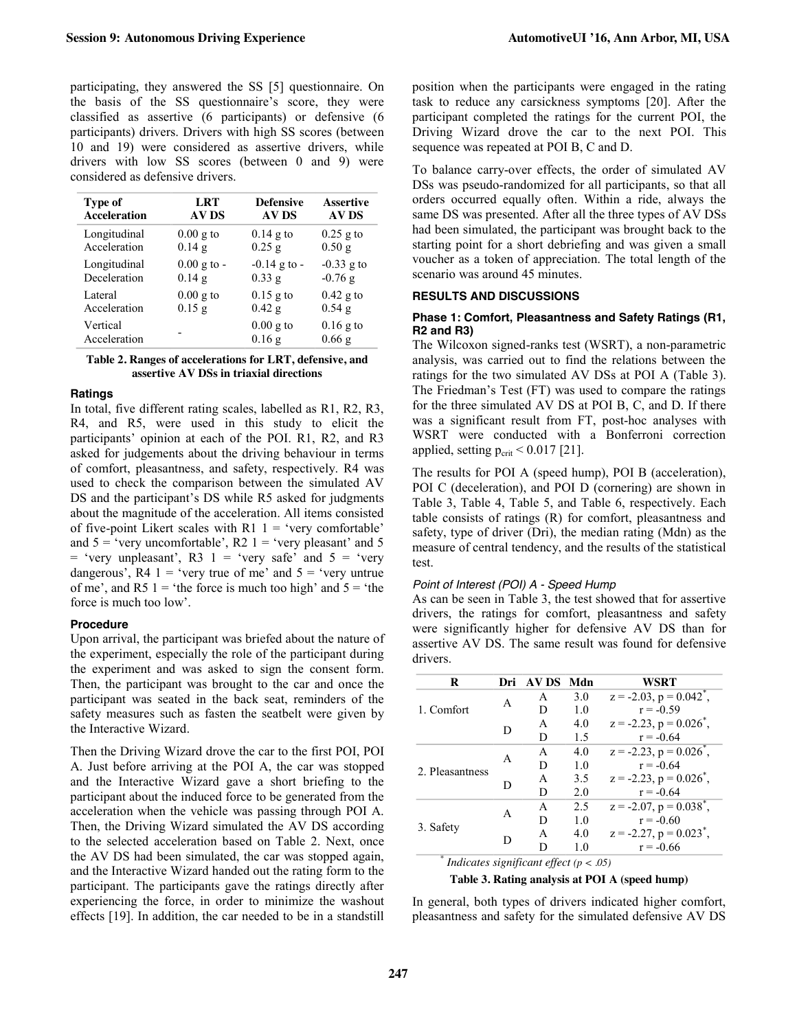participating, they answered the SS [5] questionnaire. On the basis of the SS questionnaire's score, they were classified as assertive (6 participants) or defensive (6 participants) drivers. Drivers with high SS scores (between 10 and 19) were considered as assertive drivers, while drivers with low SS scores (between 0 and 9) were considered as defensive drivers.

| Type of             | LRT                   | <b>Defensive</b> | <b>Assertive</b> |
|---------------------|-----------------------|------------------|------------------|
| <b>Acceleration</b> | <b>AV DS</b>          | <b>AV DS</b>     | <b>AV DS</b>     |
| Longitudinal        | $0.00$ g to           | $0.14$ g to      | $0.25$ g to      |
| Acceleration        | $0.14$ g              | $0.25$ g         | $0.50$ g         |
| Longitudinal        | $0.00 \text{ g}$ to - | $-0.14$ g to $-$ | $-0.33$ g to     |
| Deceleration        | $0.14$ g              | 0.33 g           | $-0.76$ g        |
| Lateral             | $0.00$ g to           | $0.15$ g to      | $0.42$ g to      |
| Acceleration        | $0.15$ g              | $0.42$ g         | $0.54$ g         |
| Vertical            |                       | $0.00$ g to      | $0.16$ g to      |
| Acceleration        |                       | $0.16$ g         | $0.66$ g         |

#### **Table 2. Ranges of accelerations for LRT, defensive, and assertive AV DSs in triaxial directions**

#### **Ratings**

In total, five different rating scales, labelled as R1, R2, R3, R4, and R5, were used in this study to elicit the participants' opinion at each of the POI. R1, R2, and R3 asked for judgements about the driving behaviour in terms of comfort, pleasantness, and safety, respectively. R4 was used to check the comparison between the simulated AV DS and the participant's DS while R5 asked for judgments about the magnitude of the acceleration. All items consisted of five-point Likert scales with  $R1$  1 = 'very comfortable' and  $5 = 'very unconfortable', R2 1 = 'very pleasant' and 5$  $=$  'very unpleasant', R3 1 = 'very safe' and  $5 =$  'very dangerous',  $R4$  1 = 'very true of me' and  $5$  = 'very untrue of me', and R5  $1 =$  'the force is much too high' and  $5 =$  'the force is much too low'.

#### **Procedure**

Upon arrival, the participant was briefed about the nature of the experiment, especially the role of the participant during the experiment and was asked to sign the consent form. Then, the participant was brought to the car and once the participant was seated in the back seat, reminders of the safety measures such as fasten the seatbelt were given by the Interactive Wizard.

Then the Driving Wizard drove the car to the first POI, POI A. Just before arriving at the POI A, the car was stopped and the Interactive Wizard gave a short briefing to the participant about the induced force to be generated from the acceleration when the vehicle was passing through POI A. Then, the Driving Wizard simulated the AV DS according to the selected acceleration based on Table 2. Next, once the AV DS had been simulated, the car was stopped again, and the Interactive Wizard handed out the rating form to the participant. The participants gave the ratings directly after experiencing the force, in order to minimize the washout effects [19]. In addition, the car needed to be in a standstill position when the participants were engaged in the rating task to reduce any carsickness symptoms [20]. After the participant completed the ratings for the current POI, the Driving Wizard drove the car to the next POI. This sequence was repeated at POI B, C and D.

To balance carry-over effects, the order of simulated AV DSs was pseudo-randomized for all participants, so that all orders occurred equally often. Within a ride, always the same DS was presented. After all the three types of AV DSs had been simulated, the participant was brought back to the starting point for a short debriefing and was given a small voucher as a token of appreciation. The total length of the scenario was around 45 minutes.

### **RESULTS AND DISCUSSIONS**

#### **Phase 1: Comfort, Pleasantness and Safety Ratings (R1, R2 and R3)**

The Wilcoxon signed-ranks test (WSRT), a non-parametric analysis, was carried out to find the relations between the ratings for the two simulated AV DSs at POI A (Table 3). The Friedman's Test (FT) was used to compare the ratings for the three simulated AV DS at POI B, C, and D. If there was a significant result from FT, post-hoc analyses with WSRT were conducted with a Bonferroni correction applied, setting  $p_{\text{crit}}$  < 0.017 [21].

The results for POI A (speed hump), POI B (acceleration), POI C (deceleration), and POI D (cornering) are shown in Table 3, Table 4, Table 5, and Table 6, respectively. Each table consists of ratings (R) for comfort, pleasantness and safety, type of driver (Dri), the median rating (Mdn) as the measure of central tendency, and the results of the statistical test.

### *Point of Interest (POI) A - Speed Hump*

As can be seen in Table 3, the test showed that for assertive drivers, the ratings for comfort, pleasantness and safety were significantly higher for defensive AV DS than for assertive AV DS. The same result was found for defensive drivers.

| R                                          | Dri | AV DS        | Mdn            | WSRT                                     |  |  |
|--------------------------------------------|-----|--------------|----------------|------------------------------------------|--|--|
|                                            |     | A            | 3.0            | $z = -2.03$ , $p = 0.042^*$ ,            |  |  |
| 1. Comfort                                 | A   | D            | 1.0            | $r = -0.59$                              |  |  |
|                                            |     | $\mathsf{A}$ | 4.0            | $z = -2.23$ , $p = 0.026^{\degree}$ ,    |  |  |
|                                            | D   | D            | 1.5            | $r = -0.64$                              |  |  |
|                                            | A   | A            | 40             | $z = -2.23$ , $p = 0.026^*$ ,            |  |  |
| 2. Pleasantness                            |     | D            | 1.0            | $r = -0.64$                              |  |  |
|                                            | D   | A            | 3.5            | $z = -2.23$ , $p = 0.026^{\degree}$ ,    |  |  |
|                                            |     | D            | 2.0            | $r = -0.64$                              |  |  |
|                                            |     | A            | 2.5            | $z = -2.07$ , $p = 0.038^*$ ,            |  |  |
|                                            | A   | D            | 1 <sub>0</sub> | $r = -0.60$                              |  |  |
| 3. Safety                                  |     | A            | 40             | $z = -2.27$ , $p = 0.023$ <sup>*</sup> , |  |  |
|                                            | D   | D            | 1.0            | $r = -0.66$                              |  |  |
| Indicates significant effect $(n \geq 05)$ |     |              |                |                                          |  |  |

*\* Indicates significant effect (p < .05)*

**Table 3. Rating analysis at POI A (speed hump)**

In general, both types of drivers indicated higher comfort, pleasantness and safety for the simulated defensive AV DS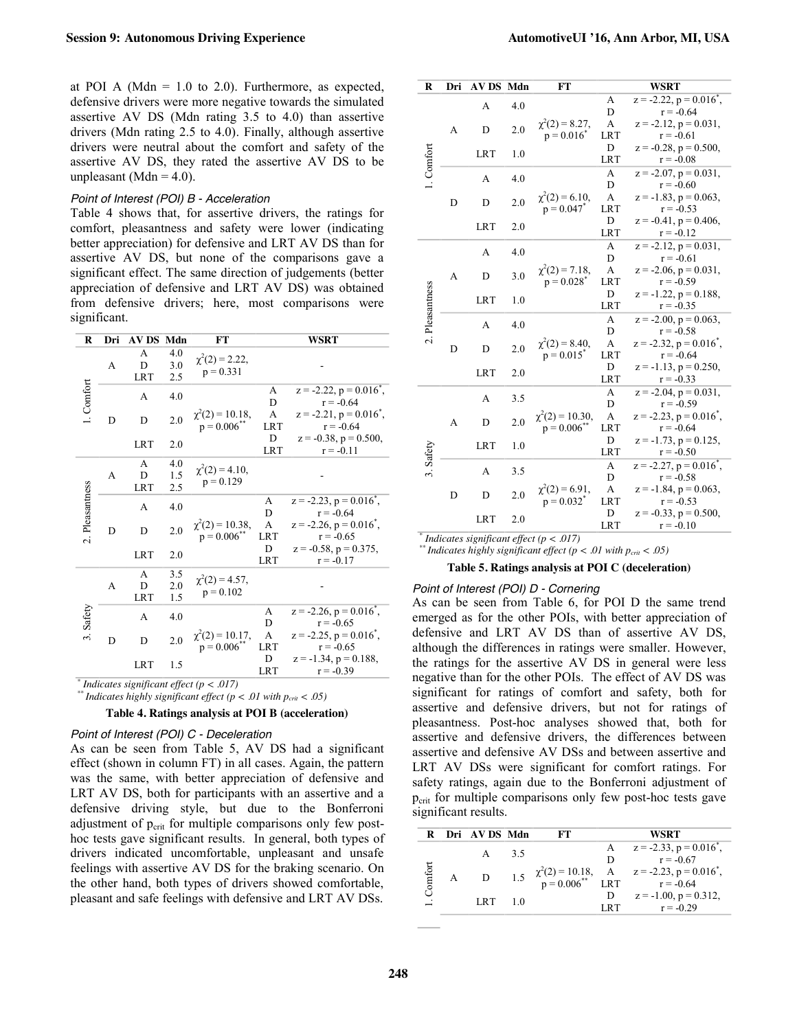at POI A (Mdn  $= 1.0$  to 2.0). Furthermore, as expected, defensive drivers were more negative towards the simulated assertive AV DS (Mdn rating 3.5 to 4.0) than assertive drivers (Mdn rating 2.5 to 4.0). Finally, although assertive drivers were neutral about the comfort and safety of the assertive AV DS, they rated the assertive AV DS to be unpleasant (Mdn =  $4.0$ ).

#### *Point of Interest (POI) B - Acceleration*

Table 4 shows that, for assertive drivers, the ratings for comfort, pleasantness and safety were lower (indicating better appreciation) for defensive and LRT AV DS than for assertive AV DS, but none of the comparisons gave a significant effect. The same direction of judgements (better appreciation of defensive and LRT AV DS) was obtained from defensive drivers; here, most comparisons were significant.

| R                                             | Dri | <b>AV DS Mdn</b>     |                   | FT                                               |                 | <b>WSRT</b>                                             |
|-----------------------------------------------|-----|----------------------|-------------------|--------------------------------------------------|-----------------|---------------------------------------------------------|
| 1. Comfort                                    | A   | А<br>D<br><b>LRT</b> | 4.0<br>3.0<br>2.5 | $\chi^2(2) = 2.22$ ,<br>$p = 0.331$              |                 |                                                         |
|                                               |     | A                    | 4.0               |                                                  | A<br>D          | $z = -2.22$ , $p = 0.016^*$ ,<br>$r = -0.64$            |
|                                               | D   | D                    | 2.0               | $\chi^2(2) = 10.18,$<br>p = 0.006 <sup>**</sup>  | A<br><b>LRT</b> | $z = -2.21$ , $p = 0.016^*$ ,<br>$r = -0.64$            |
|                                               |     | <b>LRT</b>           | 2.0               |                                                  | D<br><b>LRT</b> | $z = -0.38$ , $p = 0.500$ ,<br>$r = -0.11$              |
| 2. Pleasantness                               | A   | A<br>D<br><b>LRT</b> | 4.0<br>1.5<br>2.5 | $\chi^2(2) = 4.10,$<br>$p = 0.129$               |                 |                                                         |
|                                               |     | A                    | 4.0               | $\chi^2(2) = 10.38,$<br>p = 0.006 <sup>**</sup>  | A<br>D          | $z = -2.23$ , $p = 0.016^{\circ}$ ,<br>$r = -0.64$      |
|                                               | D   | D                    | 2.0               |                                                  | A<br><b>LRT</b> | $z = -2.26$ , $p = 0.016^*$ ,<br>$r = -0.65$            |
|                                               |     | <b>LRT</b>           | 2.0               |                                                  | D<br><b>LRT</b> | $z = -0.58$ , $p = 0.375$ ,<br>$r = -0.17$              |
|                                               | A   | A<br>D<br><b>LRT</b> | 3.5<br>2.0<br>1.5 | $\chi^2(2) = 4.57$ ,<br>$p = 0.102$              |                 |                                                         |
| 3. Safety                                     |     | A                    | 4.0               | $\chi^2(2) = 10.17$ ,<br>p = 0.006 <sup>**</sup> | A<br>D          | $z = -2.26$ , $p = 0.016^{\circ}$ ,<br>$r = -0.65$      |
|                                               | D   | D                    | 2.0               |                                                  | A<br><b>LRT</b> | $z = -2.25$ , $p = 0.016$ <sup>*</sup> ,<br>$r = -0.65$ |
|                                               |     |                      | <b>LRT</b>        | 1.5                                              |                 | D<br><b>LRT</b>                                         |
| Indicates significant effect $(n \times 017)$ |     |                      |                   |                                                  |                 |                                                         |

 $*$ <sup>\*</sup> *Indicates highly significant effect* ( $p < .01$  with  $p_{crit} < .05$ )

#### **Table 4. Ratings analysis at POI B (acceleration)**

#### *Point of Interest (POI) C - Deceleration*

As can be seen from Table 5, AV DS had a significant effect (shown in column FT) in all cases. Again, the pattern was the same, with better appreciation of defensive and LRT AV DS, both for participants with an assertive and a defensive driving style, but due to the Bonferroni adjustment of  $p_{\text{crit}}$  for multiple comparisons only few posthoc tests gave significant results. In general, both types of drivers indicated uncomfortable, unpleasant and unsafe feelings with assertive AV DS for the braking scenario. On the other hand, both types of drivers showed comfortable, pleasant and safe feelings with defensive and LRT AV DSs.

| $\bf{R}$        | Dri | AV DS Mdn      |     | FT                                      |                 | <b>WSRT</b>                                |                                            |
|-----------------|-----|----------------|-----|-----------------------------------------|-----------------|--------------------------------------------|--------------------------------------------|
|                 |     | A              | 4.0 |                                         | A               | $z = -2.22$ , $p = 0.016^*$ ,              |                                            |
|                 |     | D              | 2.0 |                                         | D               | $r = -0.64$                                |                                            |
|                 | A   |                |     | $\chi^2(2) = 8.27$ ,                    | A               | $z = -2.12$ , $p = 0.031$ ,                |                                            |
|                 |     |                |     | $p = 0.016^*$                           | <b>LRT</b><br>D | $r = -0.61$                                |                                            |
| 1. Comfort      |     | <b>LRT</b>     | 1.0 |                                         | <b>LRT</b>      | $z = -0.28$ , $p = 0.500$ ,<br>$r = -0.08$ |                                            |
|                 |     |                |     |                                         | A               | $z = -2.07$ , $p = 0.031$ ,                |                                            |
|                 |     | $\overline{A}$ | 4.0 |                                         | D               | $r = -0.60$                                |                                            |
|                 |     |                |     | $\chi^2(2) = 6.10,$                     | A               | $z = -1.83$ , $p = 0.063$ ,                |                                            |
|                 | D   | D              | 2.0 | $p = 0.047$ *                           | <b>LRT</b>      | $r = -0.53$                                |                                            |
|                 |     |                |     |                                         | D               | $z = -0.41$ , $p = 0.406$ ,                |                                            |
|                 |     | <b>LRT</b>     | 2.0 |                                         | <b>LRT</b>      | $r = -0.12$                                |                                            |
|                 |     | $\overline{A}$ | 4.0 |                                         | A               | $z = -2.12$ , $p = 0.031$ ,                |                                            |
|                 |     |                |     |                                         | D               | $r = -0.61$                                |                                            |
|                 |     | D<br>A         | 3.0 | $\chi^2(2) = 7.18$ ,                    | A               | $z = -2.06$ , $p = 0.031$ ,                |                                            |
|                 |     |                |     | $p = 0.028$ <sup>*</sup>                | <b>LRT</b>      | $r = -0.59$                                |                                            |
|                 |     | <b>LRT</b>     | 1.0 |                                         | D               | $z = -1.22$ , $p = 0.188$ ,                |                                            |
| 2. Pleasantness |     |                |     |                                         | <b>LRT</b>      | $r = -0.35$                                |                                            |
|                 |     | $\overline{A}$ | 4.0 | $\chi^2(2) = 8.40,$<br>$p = 0.015^*$    | A               | $z = -2.00$ , $p = 0.063$ ,                |                                            |
|                 |     |                |     |                                         | D               | $r = -0.58$                                |                                            |
|                 | D   | D              | 2.0 |                                         | A               | $z = -2.32$ , $p = 0.016^*$ ,              |                                            |
|                 |     |                |     |                                         | <b>LRT</b>      | $r = -0.64$                                |                                            |
|                 |     | <b>LRT</b>     | 2.0 |                                         | D               | $z = -1.13$ , $p = 0.250$ ,                |                                            |
|                 |     |                |     |                                         |                 | <b>LRT</b>                                 | $r = -0.33$                                |
|                 |     | $\overline{A}$ |     | 3.5                                     |                 | A<br>D                                     | $z = -2.04$ , $p = 0.031$ ,<br>$r = -0.59$ |
|                 |     |                |     | $\chi^2(2) = 10.30$ ,<br>$p = 0.006$ ** | A               | $z = -2.23$ , $p = 0.016$ <sup>*</sup> ,   |                                            |
|                 | A   | D              | 2.0 |                                         | <b>LRT</b>      | $r = -0.64$                                |                                            |
| 3. Safety<br>D  |     |                |     |                                         | D               | $z = -1.73$ , $p = 0.125$ ,                |                                            |
|                 |     | LRT            | 1.0 |                                         | <b>LRT</b>      | $r = -0.50$                                |                                            |
|                 |     |                |     |                                         | A               | $z = -2.27$ , $p = 0.016$ ,                |                                            |
|                 |     | $\overline{A}$ | 3.5 | $\chi^2(2) = 6.91,$<br>$p = 0.032^*$    | D               | $r = -0.58$                                |                                            |
|                 |     |                |     |                                         | A               | $z = -1.84$ , $p = 0.063$ ,                |                                            |
|                 |     | D              | 2.0 |                                         | <b>LRT</b>      | $r = -0.53$                                |                                            |
|                 |     | <b>LRT</b>     | 2.0 |                                         | D               | $z = -0.33$ , $p = 0.500$ ,                |                                            |
|                 |     |                |     |                                         | <b>LRT</b>      | $r = -0.10$                                |                                            |

*\* Indicates significant effect*  $(p < .017)$  *\*\* <i>Indicates highly significant effect*  $(p < .01$  *with*  $p_{crit} < .05)$ 

#### **Table 5. Ratings analysis at POI C (deceleration)**

*Point of Interest (POI) D - Cornering*  As can be seen from Table 6, for POI D the same trend emerged as for the other POIs, with better appreciation of defensive and LRT AV DS than of assertive AV DS, although the differences in ratings were smaller. However, the ratings for the assertive AV DS in general were less negative than for the other POIs. The effect of AV DS was significant for ratings of comfort and safety, both for assertive and defensive drivers, but not for ratings of pleasantness. Post-hoc analyses showed that, both for assertive and defensive drivers, the differences between assertive and defensive AV DSs and between assertive and LRT AV DSs were significant for comfort ratings. For safety ratings, again due to the Bonferroni adjustment of  $p_{\text{crit}}$  for multiple comparisons only few post-hoc tests gave significant results.

|        |            | R Dri AV DS Mdn |    | FТ |                                                                                               | WSRT                          |
|--------|------------|-----------------|----|----|-----------------------------------------------------------------------------------------------|-------------------------------|
|        |            | A               | 35 |    |                                                                                               | $z = -2.33$ , $p = 0.016^*$ , |
|        |            |                 |    |    | D                                                                                             | $r = -0.67$                   |
| omfort |            |                 |    |    | 1.5 $\chi^2(2) = 10.18$ , A $z = -2.23$ , $p = 0.016^*$ ,<br>$p = 0.006^{**}$ LRT $r = -0.64$ |                               |
|        | $LRT = 10$ |                 |    | D  | $z = -1.00$ , $p = 0.312$ ,                                                                   |                               |
|        |            |                 |    |    | LRT                                                                                           | $r = -0.29$                   |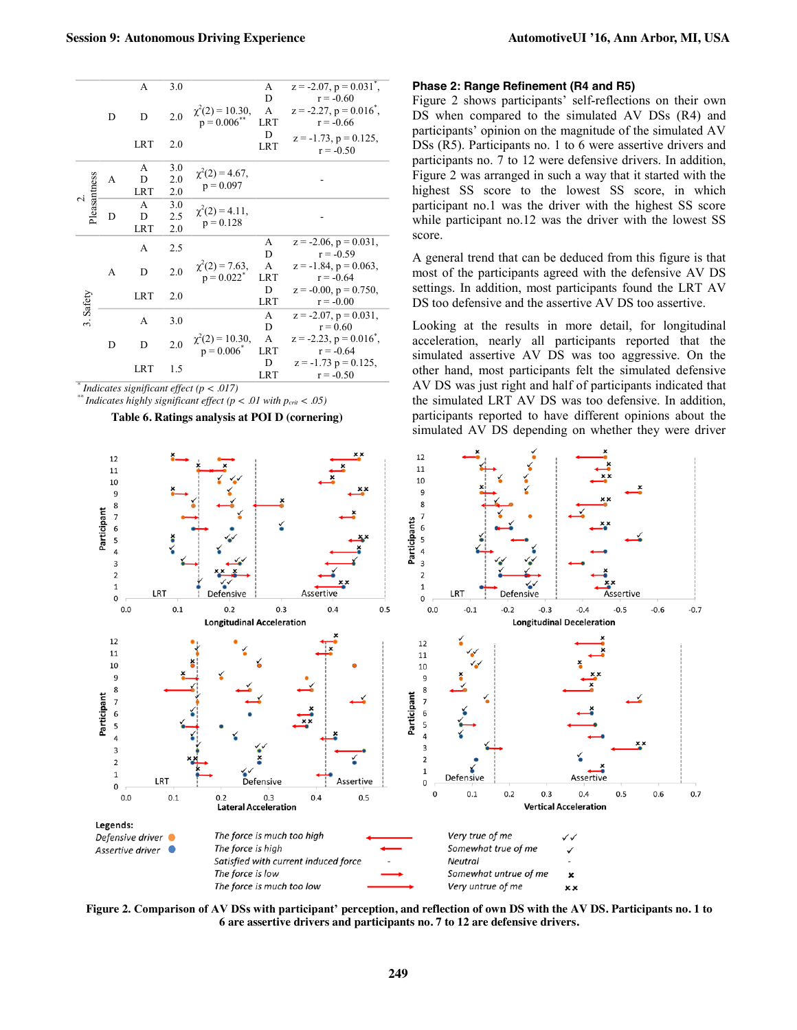|              |   | A          | 3.0                                            |                                               | А<br>D                                     | $z = -2.07$ , $p = 0.031$ <sup>*</sup> ,<br>$r = -0.60$ |  |
|--------------|---|------------|------------------------------------------------|-----------------------------------------------|--------------------------------------------|---------------------------------------------------------|--|
|              | D | D          | 2.0                                            | $\chi^2(2) = 10.30,$<br>p = 0.006**           | A<br><b>LRT</b>                            | $z = -2.27$ , $p = 0.016$ <sup>*</sup> ,<br>$r = -0.66$ |  |
|              |   | <b>LRT</b> | 2.0                                            |                                               | D<br><b>LRT</b>                            | $z = -1.73$ , $p = 0.125$ ,<br>$r = -0.50$              |  |
|              |   | A          | 3.0                                            | $\chi^2(2) = 4.67$ ,                          |                                            |                                                         |  |
|              | A | D          | 2.0                                            | $p = 0.097$                                   |                                            |                                                         |  |
| Pleasantness |   | <b>LRT</b> | 2.0                                            |                                               |                                            |                                                         |  |
|              |   | A          | 3.0                                            | $\chi^2(2) = 4.11$ ,<br>$p = 0.128$           |                                            |                                                         |  |
|              | D | D          | 2.5                                            |                                               |                                            |                                                         |  |
|              |   | <b>LRT</b> | 2.0                                            |                                               |                                            |                                                         |  |
|              |   | A          | 2.5                                            |                                               | А                                          | $z = -2.06$ , $p = 0.031$ ,                             |  |
|              |   |            |                                                | $\chi^2(2) = 7.63,$<br>p = 0.022 <sup>*</sup> | D                                          | $r = -0.59$                                             |  |
|              | A | D          | 2.0                                            |                                               | A                                          | $z = -1.84$ , $p = 0.063$ ,                             |  |
|              |   |            |                                                |                                               | <b>LRT</b>                                 | $r = -0.64$                                             |  |
|              |   | <b>LRT</b> | 2.0                                            |                                               | D                                          | $z = -0.00$ , $p = 0.750$ ,                             |  |
| 3. Safety    |   |            |                                                |                                               | <b>LRT</b>                                 | $r = -0.00$                                             |  |
|              |   | 3.0<br>A   |                                                | А                                             | $z = -2.07$ , $p = 0.031$ ,                |                                                         |  |
|              |   |            |                                                |                                               | D                                          | $r = 0.60$                                              |  |
|              | D | 2.0<br>D   | $\chi^2(2) = 10.30,$<br>p = 0.006 <sup>*</sup> | A<br><b>LRT</b>                               | $z = -2.23$ , $p = 0.016$ ,<br>$r = -0.64$ |                                                         |  |
|              |   |            |                                                |                                               | D                                          | $z = -1.73$ p = 0.125,                                  |  |
|              |   | <b>LRT</b> | 1.5                                            |                                               | <b>LRT</b>                                 | $r = -0.50$                                             |  |
|              |   |            |                                                |                                               |                                            |                                                         |  |

*\* Indicates significant effect (p < .017) \*\* Indicates highly significant effect (p < .01 with pcrit < .05)*

**Table 6. Ratings analysis at POI D (cornering)**

#### **Phase 2: Range Refinement (R4 and R5)**

Figure 2 shows participants' self-reflections on their own DS when compared to the simulated AV DSs (R4) and participants' opinion on the magnitude of the simulated AV DSs (R5). Participants no. 1 to 6 were assertive drivers and participants no. 7 to 12 were defensive drivers. In addition, Figure 2 was arranged in such a way that it started with the highest SS score to the lowest SS score, in which participant no.1 was the driver with the highest SS score while participant no.12 was the driver with the lowest SS score.

A general trend that can be deduced from this figure is that most of the participants agreed with the defensive AV DS settings. In addition, most participants found the LRT AV DS too defensive and the assertive AV DS too assertive.

Looking at the results in more detail, for longitudinal acceleration, nearly all participants reported that the simulated assertive AV DS was too aggressive. On the other hand, most participants felt the simulated defensive AV DS was just right and half of participants indicated that the simulated LRT AV DS was too defensive. In addition, participants reported to have different opinions about the simulated AV DS depending on whether they were driver



**Figure 2. Comparison of AV DSs with participant' perception, and reflection of own DS with the AV DS. Participants no. 1 to 6 are assertive drivers and participants no. 7 to 12 are defensive drivers.**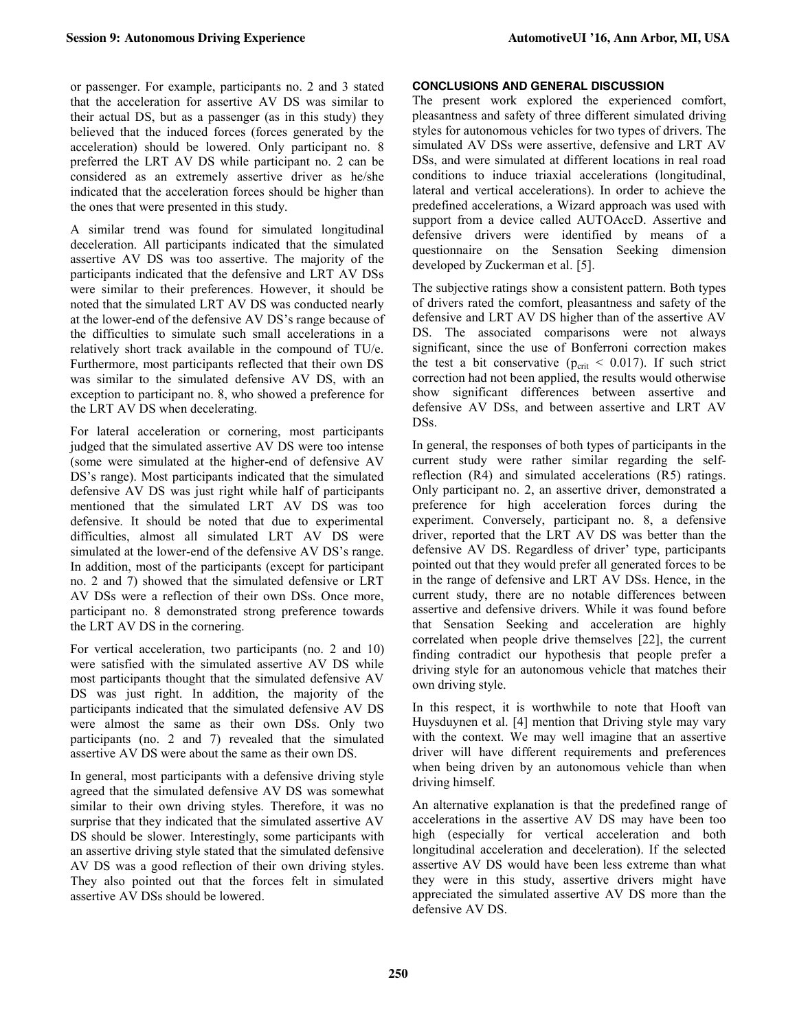or passenger. For example, participants no. 2 and 3 stated that the acceleration for assertive AV DS was similar to their actual DS, but as a passenger (as in this study) they believed that the induced forces (forces generated by the acceleration) should be lowered. Only participant no. 8 preferred the LRT AV DS while participant no. 2 can be considered as an extremely assertive driver as he/she indicated that the acceleration forces should be higher than the ones that were presented in this study.

A similar trend was found for simulated longitudinal deceleration. All participants indicated that the simulated assertive AV DS was too assertive. The majority of the participants indicated that the defensive and LRT AV DSs were similar to their preferences. However, it should be noted that the simulated LRT AV DS was conducted nearly at the lower-end of the defensive AV DS's range because of the difficulties to simulate such small accelerations in a relatively short track available in the compound of TU/e. Furthermore, most participants reflected that their own DS was similar to the simulated defensive AV DS, with an exception to participant no. 8, who showed a preference for the LRT AV DS when decelerating.

For lateral acceleration or cornering, most participants judged that the simulated assertive AV DS were too intense (some were simulated at the higher-end of defensive AV DS's range). Most participants indicated that the simulated defensive AV DS was just right while half of participants mentioned that the simulated LRT AV DS was too defensive. It should be noted that due to experimental difficulties, almost all simulated LRT AV DS were simulated at the lower-end of the defensive AV DS's range. In addition, most of the participants (except for participant no. 2 and 7) showed that the simulated defensive or LRT AV DSs were a reflection of their own DSs. Once more, participant no. 8 demonstrated strong preference towards the LRT AV DS in the cornering.

For vertical acceleration, two participants (no. 2 and 10) were satisfied with the simulated assertive AV DS while most participants thought that the simulated defensive AV DS was just right. In addition, the majority of the participants indicated that the simulated defensive AV DS were almost the same as their own DSs. Only two participants (no. 2 and 7) revealed that the simulated assertive AV DS were about the same as their own DS.

In general, most participants with a defensive driving style agreed that the simulated defensive AV DS was somewhat similar to their own driving styles. Therefore, it was no surprise that they indicated that the simulated assertive AV DS should be slower. Interestingly, some participants with an assertive driving style stated that the simulated defensive AV DS was a good reflection of their own driving styles. They also pointed out that the forces felt in simulated assertive AV DSs should be lowered.

#### **CONCLUSIONS AND GENERAL DISCUSSION**

The present work explored the experienced comfort, pleasantness and safety of three different simulated driving styles for autonomous vehicles for two types of drivers. The simulated AV DSs were assertive, defensive and LRT AV DSs, and were simulated at different locations in real road conditions to induce triaxial accelerations (longitudinal, lateral and vertical accelerations). In order to achieve the predefined accelerations, a Wizard approach was used with support from a device called AUTOAccD. Assertive and defensive drivers were identified by means of a questionnaire on the Sensation Seeking dimension developed by Zuckerman et al. [5].

The subjective ratings show a consistent pattern. Both types of drivers rated the comfort, pleasantness and safety of the defensive and LRT AV DS higher than of the assertive AV DS. The associated comparisons were not always significant, since the use of Bonferroni correction makes the test a bit conservative ( $p_{crit}$  < 0.017). If such strict correction had not been applied, the results would otherwise show significant differences between assertive and defensive AV DSs, and between assertive and LRT AV DSs.

In general, the responses of both types of participants in the current study were rather similar regarding the selfreflection (R4) and simulated accelerations (R5) ratings. Only participant no. 2, an assertive driver, demonstrated a preference for high acceleration forces during the experiment. Conversely, participant no. 8, a defensive driver, reported that the LRT AV DS was better than the defensive AV DS. Regardless of driver' type, participants pointed out that they would prefer all generated forces to be in the range of defensive and LRT AV DSs. Hence, in the current study, there are no notable differences between assertive and defensive drivers. While it was found before that Sensation Seeking and acceleration are highly correlated when people drive themselves [22], the current finding contradict our hypothesis that people prefer a driving style for an autonomous vehicle that matches their own driving style.

In this respect, it is worthwhile to note that Hooft van Huysduynen et al. [4] mention that Driving style may vary with the context. We may well imagine that an assertive driver will have different requirements and preferences when being driven by an autonomous vehicle than when driving himself.

An alternative explanation is that the predefined range of accelerations in the assertive AV DS may have been too high (especially for vertical acceleration and both longitudinal acceleration and deceleration). If the selected assertive AV DS would have been less extreme than what they were in this study, assertive drivers might have appreciated the simulated assertive AV DS more than the defensive AV DS.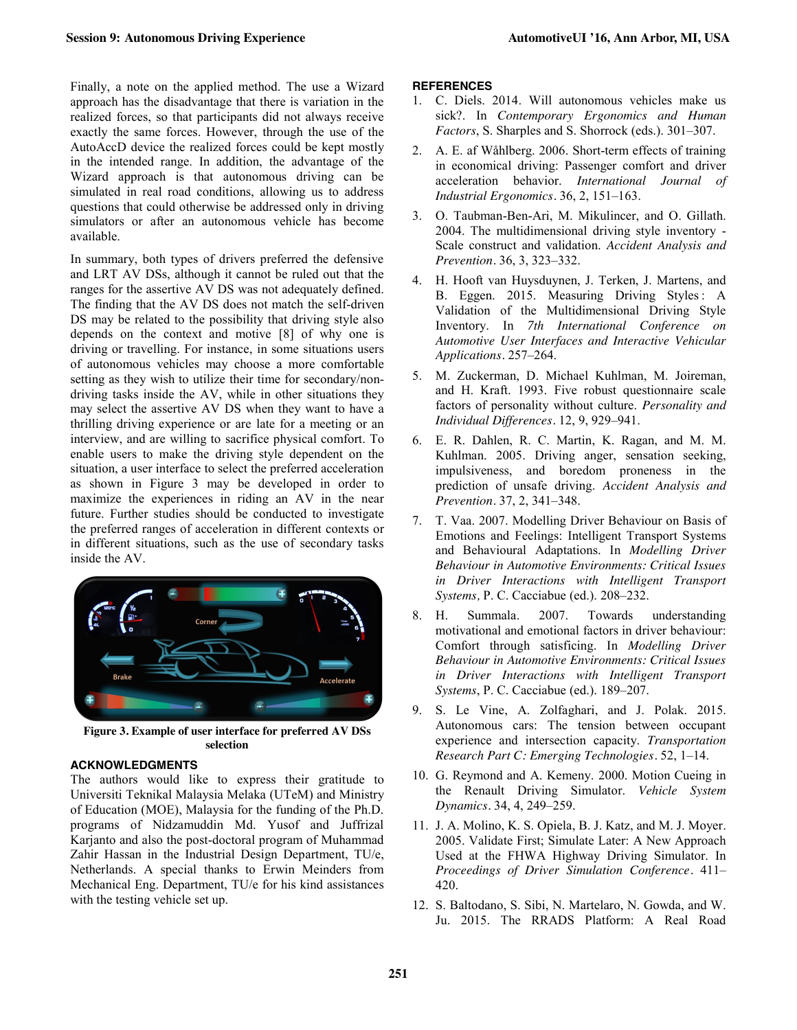Finally, a note on the applied method. The use a Wizard approach has the disadvantage that there is variation in the realized forces, so that participants did not always receive exactly the same forces. However, through the use of the AutoAccD device the realized forces could be kept mostly in the intended range. In addition, the advantage of the Wizard approach is that autonomous driving can be simulated in real road conditions, allowing us to address questions that could otherwise be addressed only in driving simulators or after an autonomous vehicle has become available.

In summary, both types of drivers preferred the defensive and LRT AV DSs, although it cannot be ruled out that the ranges for the assertive AV DS was not adequately defined. The finding that the AV DS does not match the self-driven DS may be related to the possibility that driving style also depends on the context and motive [8] of why one is driving or travelling. For instance, in some situations users of autonomous vehicles may choose a more comfortable setting as they wish to utilize their time for secondary/nondriving tasks inside the AV, while in other situations they may select the assertive AV DS when they want to have a thrilling driving experience or are late for a meeting or an interview, and are willing to sacrifice physical comfort. To enable users to make the driving style dependent on the situation, a user interface to select the preferred acceleration as shown in Figure 3 may be developed in order to maximize the experiences in riding an AV in the near future. Further studies should be conducted to investigate the preferred ranges of acceleration in different contexts or in different situations, such as the use of secondary tasks inside the AV.



**Figure 3. Example of user interface for preferred AV DSs selection**

# **ACKNOWLEDGMENTS**

The authors would like to express their gratitude to Universiti Teknikal Malaysia Melaka (UTeM) and Ministry of Education (MOE), Malaysia for the funding of the Ph.D. programs of Nidzamuddin Md. Yusof and Juffrizal Karjanto and also the post-doctoral program of Muhammad Zahir Hassan in the Industrial Design Department, TU/e, Netherlands. A special thanks to Erwin Meinders from Mechanical Eng. Department, TU/e for his kind assistances with the testing vehicle set up.

#### **REFERENCES**

- 1. C. Diels. 2014. Will autonomous vehicles make us sick?. In *Contemporary Ergonomics and Human Factors*, S. Sharples and S. Shorrock (eds.). 301–307.
- 2. A. E. af Wåhlberg. 2006. Short-term effects of training in economical driving: Passenger comfort and driver acceleration behavior. *International Journal of Industrial Ergonomics.* 36, 2, 151–163.
- 3. O. Taubman-Ben-Ari, M. Mikulincer, and O. Gillath. 2004. The multidimensional driving style inventory - Scale construct and validation. *Accident Analysis and Prevention.* 36, 3, 323–332.
- 4. H. Hooft van Huysduynen, J. Terken, J. Martens, and B. Eggen. 2015. Measuring Driving Styles : A Validation of the Multidimensional Driving Style Inventory. In *7th International Conference on Automotive User Interfaces and Interactive Vehicular Applications.* 257–264.
- 5. M. Zuckerman, D. Michael Kuhlman, M. Joireman, and H. Kraft. 1993. Five robust questionnaire scale factors of personality without culture. *Personality and Individual Differences.* 12, 9, 929–941.
- 6. E. R. Dahlen, R. C. Martin, K. Ragan, and M. M. Kuhlman. 2005. Driving anger, sensation seeking, impulsiveness, and boredom proneness in the prediction of unsafe driving. *Accident Analysis and Prevention.* 37, 2, 341–348.
- 7. T. Vaa. 2007. Modelling Driver Behaviour on Basis of Emotions and Feelings: Intelligent Transport Systems and Behavioural Adaptations. In *Modelling Driver Behaviour in Automotive Environments: Critical Issues in Driver Interactions with Intelligent Transport Systems,* P. C. Cacciabue (ed.). 208–232.
- 8. H. Summala. 2007. Towards understanding motivational and emotional factors in driver behaviour: Comfort through satisficing. In *Modelling Driver Behaviour in Automotive Environments: Critical Issues in Driver Interactions with Intelligent Transport Systems*, P. C. Cacciabue (ed.). 189–207.
- 9. S. Le Vine, A. Zolfaghari, and J. Polak. 2015. Autonomous cars: The tension between occupant experience and intersection capacity. *Transportation Research Part C: Emerging Technologies.* 52, 1–14.
- 10. G. Reymond and A. Kemeny. 2000. Motion Cueing in the Renault Driving Simulator. *Vehicle System Dynamics.* 34, 4, 249–259.
- 11. J. A. Molino, K. S. Opiela, B. J. Katz, and M. J. Moyer. 2005. Validate First; Simulate Later: A New Approach Used at the FHWA Highway Driving Simulator. In *Proceedings of Driver Simulation Conference.* 411– 420.
- 12. S. Baltodano, S. Sibi, N. Martelaro, N. Gowda, and W. Ju. 2015. The RRADS Platform: A Real Road